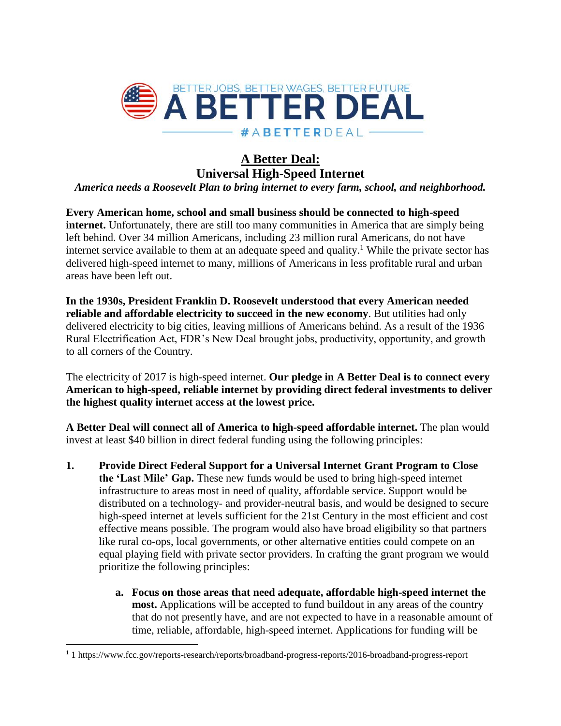

## **A Better Deal: Universal High-Speed Internet**

*America needs a Roosevelt Plan to bring internet to every farm, school, and neighborhood.*

**Every American home, school and small business should be connected to high-speed internet.** Unfortunately, there are still too many communities in America that are simply being left behind. Over 34 million Americans, including 23 million rural Americans, do not have internet service available to them at an adequate speed and quality. <sup>1</sup> While the private sector has delivered high-speed internet to many, millions of Americans in less profitable rural and urban areas have been left out.

**In the 1930s, President Franklin D. Roosevelt understood that every American needed reliable and affordable electricity to succeed in the new economy**. But utilities had only delivered electricity to big cities, leaving millions of Americans behind. As a result of the 1936 Rural Electrification Act, FDR's New Deal brought jobs, productivity, opportunity, and growth to all corners of the Country.

The electricity of 2017 is high-speed internet. **Our pledge in A Better Deal is to connect every American to high-speed, reliable internet by providing direct federal investments to deliver the highest quality internet access at the lowest price.** 

**A Better Deal will connect all of America to high-speed affordable internet.** The plan would invest at least \$40 billion in direct federal funding using the following principles:

- **1. Provide Direct Federal Support for a Universal Internet Grant Program to Close the 'Last Mile' Gap.** These new funds would be used to bring high-speed internet infrastructure to areas most in need of quality, affordable service. Support would be distributed on a technology- and provider-neutral basis, and would be designed to secure high-speed internet at levels sufficient for the 21st Century in the most efficient and cost effective means possible. The program would also have broad eligibility so that partners like rural co-ops, local governments, or other alternative entities could compete on an equal playing field with private sector providers. In crafting the grant program we would prioritize the following principles:
	- **a. Focus on those areas that need adequate, affordable high-speed internet the most.** Applications will be accepted to fund buildout in any areas of the country that do not presently have, and are not expected to have in a reasonable amount of time, reliable, affordable, high-speed internet. Applications for funding will be

 $\overline{\phantom{a}}$ 

<sup>1</sup> 1 https://www.fcc.gov/reports-research/reports/broadband-progress-reports/2016-broadband-progress-report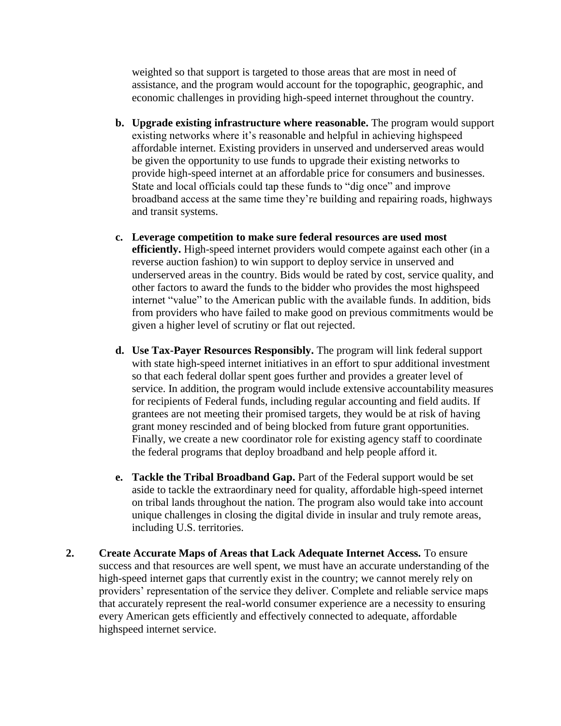weighted so that support is targeted to those areas that are most in need of assistance, and the program would account for the topographic, geographic, and economic challenges in providing high-speed internet throughout the country.

- **b. Upgrade existing infrastructure where reasonable.** The program would support existing networks where it's reasonable and helpful in achieving highspeed affordable internet. Existing providers in unserved and underserved areas would be given the opportunity to use funds to upgrade their existing networks to provide high-speed internet at an affordable price for consumers and businesses. State and local officials could tap these funds to "dig once" and improve broadband access at the same time they're building and repairing roads, highways and transit systems.
- **c. Leverage competition to make sure federal resources are used most efficiently.** High-speed internet providers would compete against each other (in a reverse auction fashion) to win support to deploy service in unserved and underserved areas in the country. Bids would be rated by cost, service quality, and other factors to award the funds to the bidder who provides the most highspeed internet "value" to the American public with the available funds. In addition, bids from providers who have failed to make good on previous commitments would be given a higher level of scrutiny or flat out rejected.
- **d. Use Tax-Payer Resources Responsibly.** The program will link federal support with state high-speed internet initiatives in an effort to spur additional investment so that each federal dollar spent goes further and provides a greater level of service. In addition, the program would include extensive accountability measures for recipients of Federal funds, including regular accounting and field audits. If grantees are not meeting their promised targets, they would be at risk of having grant money rescinded and of being blocked from future grant opportunities. Finally, we create a new coordinator role for existing agency staff to coordinate the federal programs that deploy broadband and help people afford it.
- **e. Tackle the Tribal Broadband Gap.** Part of the Federal support would be set aside to tackle the extraordinary need for quality, affordable high-speed internet on tribal lands throughout the nation. The program also would take into account unique challenges in closing the digital divide in insular and truly remote areas, including U.S. territories.
- **2. Create Accurate Maps of Areas that Lack Adequate Internet Access.** To ensure success and that resources are well spent, we must have an accurate understanding of the high-speed internet gaps that currently exist in the country; we cannot merely rely on providers' representation of the service they deliver. Complete and reliable service maps that accurately represent the real-world consumer experience are a necessity to ensuring every American gets efficiently and effectively connected to adequate, affordable highspeed internet service.